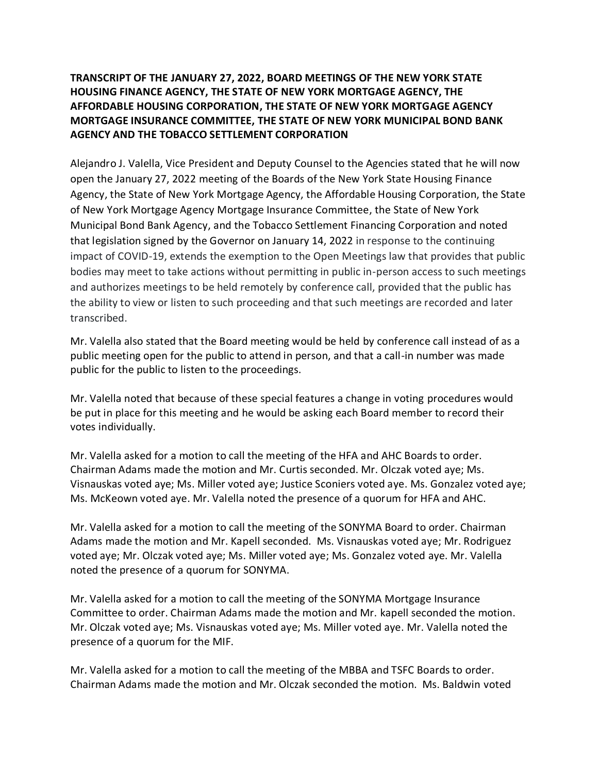## **TRANSCRIPT OF THE JANUARY 27, 2022, BOARD MEETINGS OF THE NEW YORK STATE HOUSING FINANCE AGENCY, THE STATE OF NEW YORK MORTGAGE AGENCY, THE AFFORDABLE HOUSING CORPORATION, THE STATE OF NEW YORK MORTGAGE AGENCY MORTGAGE INSURANCE COMMITTEE, THE STATE OF NEW YORK MUNICIPAL BOND BANK AGENCY AND THE TOBACCO SETTLEMENT CORPORATION**

Alejandro J. Valella, Vice President and Deputy Counsel to the Agencies stated that he will now open the January 27, 2022 meeting of the Boards of the New York State Housing Finance Agency, the State of New York Mortgage Agency, the Affordable Housing Corporation, the State of New York Mortgage Agency Mortgage Insurance Committee, the State of New York Municipal Bond Bank Agency, and the Tobacco Settlement Financing Corporation and noted that legislation signed by the Governor on January 14, 2022 in response to the continuing impact of COVID-19, extends the exemption to the Open Meetings law that provides that public bodies may meet to take actions without permitting in public in-person access to such meetings and authorizes meetings to be held remotely by conference call, provided that the public has the ability to view or listen to such proceeding and that such meetings are recorded and later transcribed.

Mr. Valella also stated that the Board meeting would be held by conference call instead of as a public meeting open for the public to attend in person, and that a call-in number was made public for the public to listen to the proceedings.

Mr. Valella noted that because of these special features a change in voting procedures would be put in place for this meeting and he would be asking each Board member to record their votes individually.

Mr. Valella asked for a motion to call the meeting of the HFA and AHC Boards to order. Chairman Adams made the motion and Mr. Curtis seconded. Mr. Olczak voted aye; Ms. Visnauskas voted aye; Ms. Miller voted aye; Justice Sconiers voted aye. Ms. Gonzalez voted aye; Ms. McKeown voted aye. Mr. Valella noted the presence of a quorum for HFA and AHC.

Mr. Valella asked for a motion to call the meeting of the SONYMA Board to order. Chairman Adams made the motion and Mr. Kapell seconded. Ms. Visnauskas voted aye; Mr. Rodriguez voted aye; Mr. Olczak voted aye; Ms. Miller voted aye; Ms. Gonzalez voted aye. Mr. Valella noted the presence of a quorum for SONYMA.

Mr. Valella asked for a motion to call the meeting of the SONYMA Mortgage Insurance Committee to order. Chairman Adams made the motion and Mr. kapell seconded the motion. Mr. Olczak voted aye; Ms. Visnauskas voted aye; Ms. Miller voted aye. Mr. Valella noted the presence of a quorum for the MIF.

Mr. Valella asked for a motion to call the meeting of the MBBA and TSFC Boards to order. Chairman Adams made the motion and Mr. Olczak seconded the motion. Ms. Baldwin voted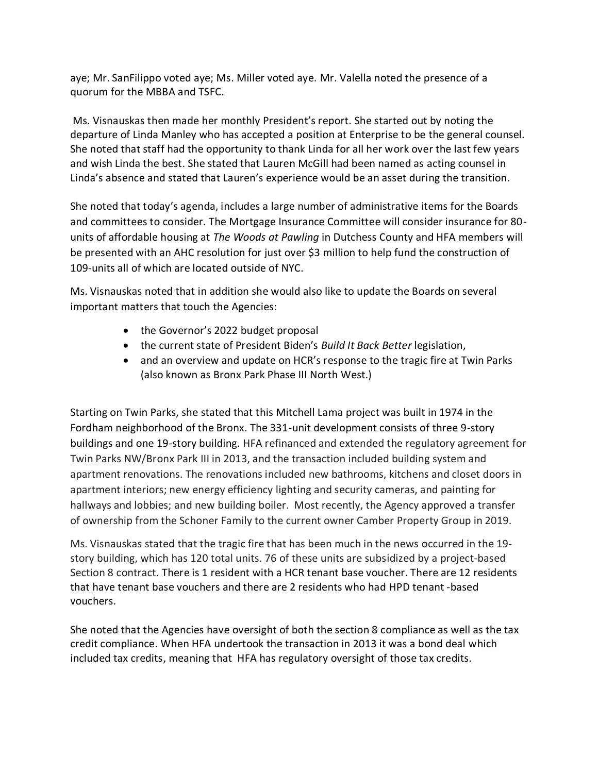aye; Mr. SanFilippo voted aye; Ms. Miller voted aye. Mr. Valella noted the presence of a quorum for the MBBA and TSFC.

Ms. Visnauskas then made her monthly President's report. She started out by noting the departure of Linda Manley who has accepted a position at Enterprise to be the general counsel. She noted that staff had the opportunity to thank Linda for all her work over the last few years and wish Linda the best. She stated that Lauren McGill had been named as acting counsel in Linda's absence and stated that Lauren's experience would be an asset during the transition.

She noted that today's agenda, includes a large number of administrative items for the Boards and committees to consider. The Mortgage Insurance Committee will consider insurance for 80 units of affordable housing at *The Woods at Pawling* in Dutchess County and HFA members will be presented with an AHC resolution for just over \$3 million to help fund the construction of 109-units all of which are located outside of NYC.

Ms. Visnauskas noted that in addition she would also like to update the Boards on several important matters that touch the Agencies:

- the Governor's 2022 budget proposal
- the current state of President Biden's *Build It Back Better* legislation,
- and an overview and update on HCR's response to the tragic fire at Twin Parks (also known as Bronx Park Phase III North West.)

Starting on Twin Parks, she stated that this Mitchell Lama project was built in 1974 in the Fordham neighborhood of the Bronx. The 331-unit development consists of three 9-story buildings and one 19-story building. HFA refinanced and extended the regulatory agreement for Twin Parks NW/Bronx Park III in 2013, and the transaction included building system and apartment renovations. The renovations included new bathrooms, kitchens and closet doors in apartment interiors; new energy efficiency lighting and security cameras, and painting for hallways and lobbies; and new building boiler. Most recently, the Agency approved a transfer of ownership from the Schoner Family to the current owner Camber Property Group in 2019.

Ms. Visnauskas stated that the tragic fire that has been much in the news occurred in the 19 story building, which has 120 total units. 76 of these units are subsidized by a project-based Section 8 contract. There is 1 resident with a HCR tenant base voucher. There are 12 residents that have tenant base vouchers and there are 2 residents who had HPD tenant -based vouchers.

She noted that the Agencies have oversight of both the section 8 compliance as well as the tax credit compliance. When HFA undertook the transaction in 2013 it was a bond deal which included tax credits, meaning that HFA has regulatory oversight of those tax credits.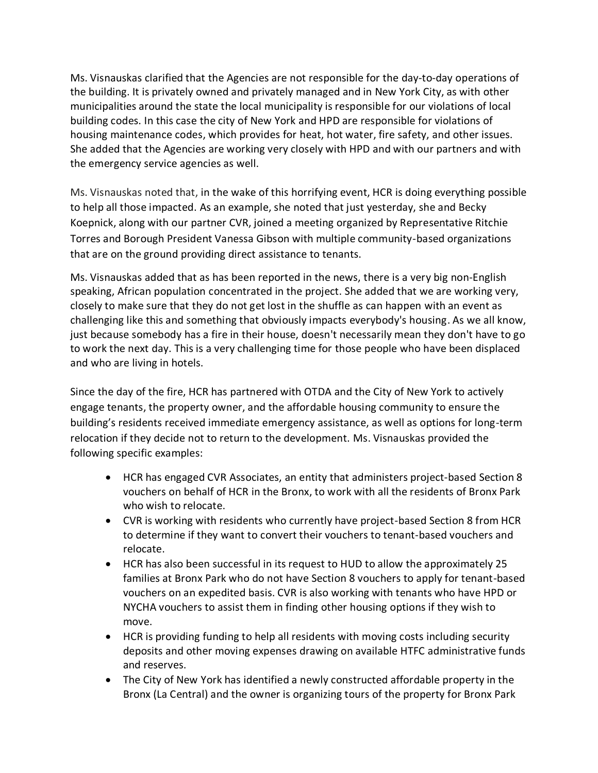Ms. Visnauskas clarified that the Agencies are not responsible for the day-to-day operations of the building. It is privately owned and privately managed and in New York City, as with other municipalities around the state the local municipality is responsible for our violations of local building codes. In this case the city of New York and HPD are responsible for violations of housing maintenance codes, which provides for heat, hot water, fire safety, and other issues. She added that the Agencies are working very closely with HPD and with our partners and with the emergency service agencies as well.

Ms. Visnauskas noted that, in the wake of this horrifying event, HCR is doing everything possible to help all those impacted. As an example, she noted that just yesterday, she and Becky Koepnick, along with our partner CVR, joined a meeting organized by Representative Ritchie Torres and Borough President Vanessa Gibson with multiple community-based organizations that are on the ground providing direct assistance to tenants.

Ms. Visnauskas added that as has been reported in the news, there is a very big non-English speaking, African population concentrated in the project. She added that we are working very, closely to make sure that they do not get lost in the shuffle as can happen with an event as challenging like this and something that obviously impacts everybody's housing. As we all know, just because somebody has a fire in their house, doesn't necessarily mean they don't have to go to work the next day. This is a very challenging time for those people who have been displaced and who are living in hotels.

Since the day of the fire, HCR has partnered with OTDA and the City of New York to actively engage tenants, the property owner, and the affordable housing community to ensure the building's residents received immediate emergency assistance, as well as options for long-term relocation if they decide not to return to the development. Ms. Visnauskas provided the following specific examples:

- HCR has engaged CVR Associates, an entity that administers project-based Section 8 vouchers on behalf of HCR in the Bronx, to work with all the residents of Bronx Park who wish to relocate.
- CVR is working with residents who currently have project-based Section 8 from HCR to determine if they want to convert their vouchers to tenant-based vouchers and relocate.
- HCR has also been successful in its request to HUD to allow the approximately 25 families at Bronx Park who do not have Section 8 vouchers to apply for tenant-based vouchers on an expedited basis. CVR is also working with tenants who have HPD or NYCHA vouchers to assist them in finding other housing options if they wish to move.
- HCR is providing funding to help all residents with moving costs including security deposits and other moving expenses drawing on available HTFC administrative funds and reserves.
- The City of New York has identified a newly constructed affordable property in the Bronx (La Central) and the owner is organizing tours of the property for Bronx Park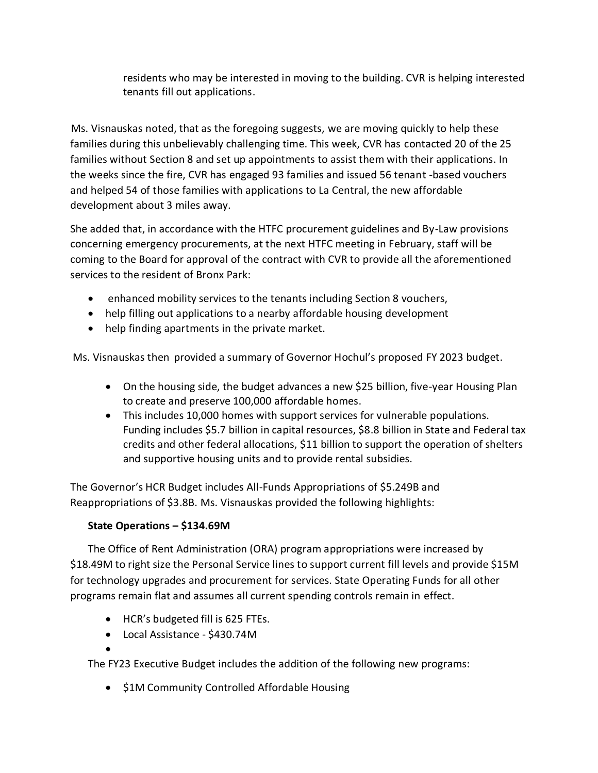residents who may be interested in moving to the building. CVR is helping interested tenants fill out applications.

 Ms. Visnauskas noted, that as the foregoing suggests, we are moving quickly to help these families during this unbelievably challenging time. This week, CVR has contacted 20 of the 25 families without Section 8 and set up appointments to assist them with their applications. In the weeks since the fire, CVR has engaged 93 families and issued 56 tenant -based vouchers and helped 54 of those families with applications to La Central, the new affordable development about 3 miles away.

She added that, in accordance with the HTFC procurement guidelines and By-Law provisions concerning emergency procurements, at the next HTFC meeting in February, staff will be coming to the Board for approval of the contract with CVR to provide all the aforementioned services to the resident of Bronx Park:

- enhanced mobility services to the tenants including Section 8 vouchers,
- help filling out applications to a nearby affordable housing development
- help finding apartments in the private market.

Ms. Visnauskas then provided a summary of Governor Hochul's proposed FY 2023 budget.

- On the housing side, the budget advances a new \$25 billion, five-year Housing Plan to create and preserve 100,000 affordable homes.
- This includes 10,000 homes with support services for vulnerable populations. Funding includes \$5.7 billion in capital resources, \$8.8 billion in State and Federal tax credits and other federal allocations, \$11 billion to support the operation of shelters and supportive housing units and to provide rental subsidies.

The Governor's HCR Budget includes All-Funds Appropriations of \$5.249B and Reappropriations of \$3.8B. Ms. Visnauskas provided the following highlights:

# **State Operations – \$134.69M**

The Office of Rent Administration (ORA) program appropriations were increased by \$18.49M to right size the Personal Service lines to support current fill levels and provide \$15M for technology upgrades and procurement for services. State Operating Funds for all other programs remain flat and assumes all current spending controls remain in effect.

- HCR's budgeted fill is 625 FTEs.
- Local Assistance \$430.74M
- •

The FY23 Executive Budget includes the addition of the following new programs:

• \$1M Community Controlled Affordable Housing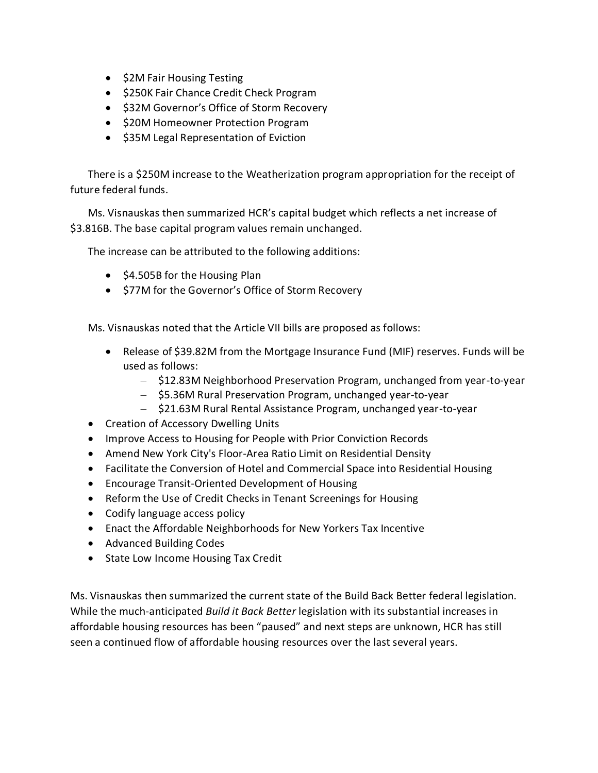- \$2M Fair Housing Testing
- \$250K Fair Chance Credit Check Program
- \$32M Governor's Office of Storm Recovery
- \$20M Homeowner Protection Program
- \$35M Legal Representation of Eviction

There is a \$250M increase to the Weatherization program appropriation for the receipt of future federal funds.

Ms. Visnauskas then summarized HCR's capital budget which reflects a net increase of \$3.816B. The base capital program values remain unchanged.

The increase can be attributed to the following additions:

- \$4.505B for the Housing Plan
- \$77M for the Governor's Office of Storm Recovery

Ms. Visnauskas noted that the Article VII bills are proposed as follows:

- Release of \$39.82M from the Mortgage Insurance Fund (MIF) reserves. Funds will be used as follows:
	- \$12.83M Neighborhood Preservation Program, unchanged from year-to-year
	- \$5.36M Rural Preservation Program, unchanged year-to-year
	- \$21.63M Rural Rental Assistance Program, unchanged year-to-year
- Creation of Accessory Dwelling Units
- Improve Access to Housing for People with Prior Conviction Records
- Amend New York City's Floor-Area Ratio Limit on Residential Density
- Facilitate the Conversion of Hotel and Commercial Space into Residential Housing
- Encourage Transit-Oriented Development of Housing
- Reform the Use of Credit Checks in Tenant Screenings for Housing
- Codify language access policy
- Enact the Affordable Neighborhoods for New Yorkers Tax Incentive
- Advanced Building Codes
- State Low Income Housing Tax Credit

Ms. Visnauskas then summarized the current state of the Build Back Better federal legislation. While the much-anticipated *Build it Back Better* legislation with its substantial increases in affordable housing resources has been "paused" and next steps are unknown, HCR has still seen a continued flow of affordable housing resources over the last several years.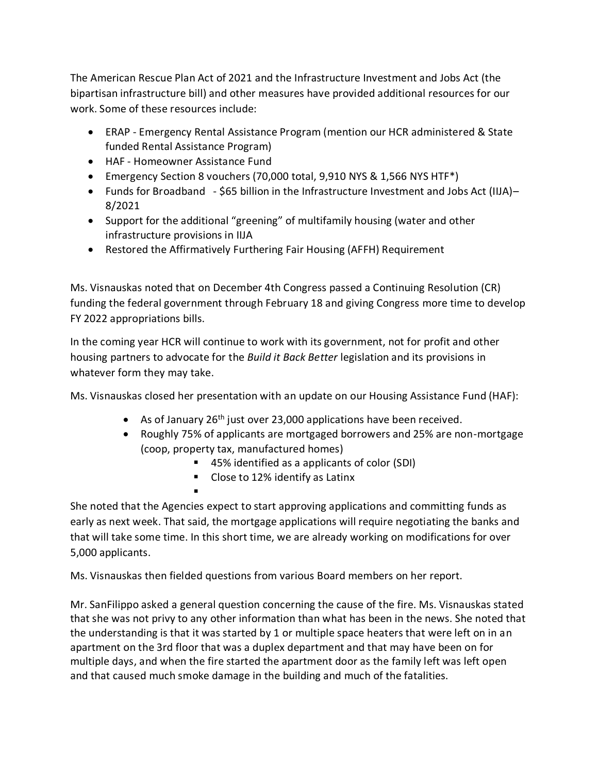The American Rescue Plan Act of 2021 and the Infrastructure Investment and Jobs Act (the bipartisan infrastructure bill) and other measures have provided additional resources for our work. Some of these resources include:

- ERAP Emergency Rental Assistance Program (mention our HCR administered & State funded Rental Assistance Program)
- HAF Homeowner Assistance Fund

▪

- Emergency Section 8 vouchers (70,000 total, 9,910 NYS & 1,566 NYS HTF\*)
- Funds for Broadband \$65 billion in the Infrastructure Investment and Jobs Act (IIJA)– 8/2021
- Support for the additional "greening" of multifamily housing (water and other infrastructure provisions in IIJA
- Restored the Affirmatively Furthering Fair Housing (AFFH) Requirement

Ms. Visnauskas noted that on December 4th Congress passed a Continuing Resolution (CR) funding the federal government through February 18 and giving Congress more time to develop FY 2022 appropriations bills.

In the coming year HCR will continue to work with its government, not for profit and other housing partners to advocate for the *Build it Back Better* legislation and its provisions in whatever form they may take.

Ms. Visnauskas closed her presentation with an update on our Housing Assistance Fund (HAF):

- As of January  $26<sup>th</sup>$  just over 23,000 applications have been received.
- Roughly 75% of applicants are mortgaged borrowers and 25% are non-mortgage (coop, property tax, manufactured homes)
	- 45% identified as a applicants of color (SDI)
	- Close to 12% identify as Latinx

She noted that the Agencies expect to start approving applications and committing funds as early as next week. That said, the mortgage applications will require negotiating the banks and that will take some time. In this short time, we are already working on modifications for over 5,000 applicants.

Ms. Visnauskas then fielded questions from various Board members on her report.

Mr. SanFilippo asked a general question concerning the cause of the fire. Ms. Visnauskas stated that she was not privy to any other information than what has been in the news. She noted that the understanding is that it was started by 1 or multiple space heaters that were left on in an apartment on the 3rd floor that was a duplex department and that may have been on for multiple days, and when the fire started the apartment door as the family left was left open and that caused much smoke damage in the building and much of the fatalities.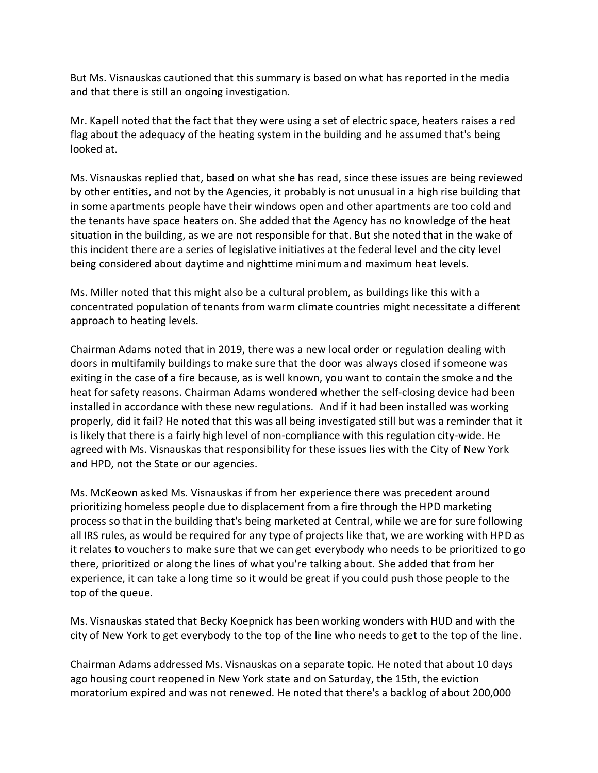But Ms. Visnauskas cautioned that this summary is based on what has reported in the media and that there is still an ongoing investigation.

Mr. Kapell noted that the fact that they were using a set of electric space, heaters raises a red flag about the adequacy of the heating system in the building and he assumed that's being looked at.

Ms. Visnauskas replied that, based on what she has read, since these issues are being reviewed by other entities, and not by the Agencies, it probably is not unusual in a high rise building that in some apartments people have their windows open and other apartments are too cold and the tenants have space heaters on. She added that the Agency has no knowledge of the heat situation in the building, as we are not responsible for that. But she noted that in the wake of this incident there are a series of legislative initiatives at the federal level and the city level being considered about daytime and nighttime minimum and maximum heat levels.

Ms. Miller noted that this might also be a cultural problem, as buildings like this with a concentrated population of tenants from warm climate countries might necessitate a different approach to heating levels.

Chairman Adams noted that in 2019, there was a new local order or regulation dealing with doors in multifamily buildings to make sure that the door was always closed if someone was exiting in the case of a fire because, as is well known, you want to contain the smoke and the heat for safety reasons. Chairman Adams wondered whether the self-closing device had been installed in accordance with these new regulations. And if it had been installed was working properly, did it fail? He noted that this was all being investigated still but was a reminder that it is likely that there is a fairly high level of non-compliance with this regulation city-wide. He agreed with Ms. Visnauskas that responsibility for these issues lies with the City of New York and HPD, not the State or our agencies.

Ms. McKeown asked Ms. Visnauskas if from her experience there was precedent around prioritizing homeless people due to displacement from a fire through the HPD marketing process so that in the building that's being marketed at Central, while we are for sure following all IRS rules, as would be required for any type of projects like that, we are working with HPD as it relates to vouchers to make sure that we can get everybody who needs to be prioritized to go there, prioritized or along the lines of what you're talking about. She added that from her experience, it can take a long time so it would be great if you could push those people to the top of the queue.

Ms. Visnauskas stated that Becky Koepnick has been working wonders with HUD and with the city of New York to get everybody to the top of the line who needs to get to the top of the line.

Chairman Adams addressed Ms. Visnauskas on a separate topic. He noted that about 10 days ago housing court reopened in New York state and on Saturday, the 15th, the eviction moratorium expired and was not renewed. He noted that there's a backlog of about 200,000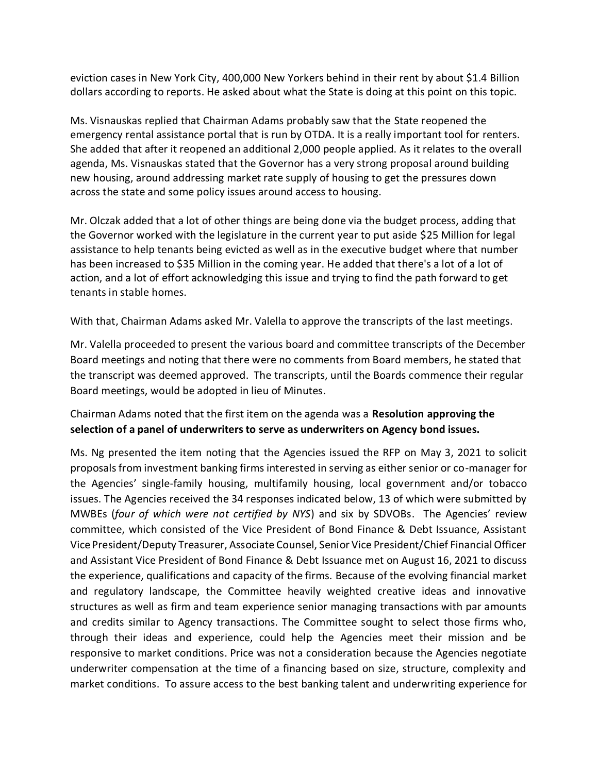eviction cases in New York City, 400,000 New Yorkers behind in their rent by about \$1.4 Billion dollars according to reports. He asked about what the State is doing at this point on this topic.

Ms. Visnauskas replied that Chairman Adams probably saw that the State reopened the emergency rental assistance portal that is run by OTDA. It is a really important tool for renters. She added that after it reopened an additional 2,000 people applied. As it relates to the overall agenda, Ms. Visnauskas stated that the Governor has a very strong proposal around building new housing, around addressing market rate supply of housing to get the pressures down across the state and some policy issues around access to housing.

Mr. Olczak added that a lot of other things are being done via the budget process, adding that the Governor worked with the legislature in the current year to put aside \$25 Million for legal assistance to help tenants being evicted as well as in the executive budget where that number has been increased to \$35 Million in the coming year. He added that there's a lot of a lot of action, and a lot of effort acknowledging this issue and trying to find the path forward to get tenants in stable homes.

With that, Chairman Adams asked Mr. Valella to approve the transcripts of the last meetings.

Mr. Valella proceeded to present the various board and committee transcripts of the December Board meetings and noting that there were no comments from Board members, he stated that the transcript was deemed approved. The transcripts, until the Boards commence their regular Board meetings, would be adopted in lieu of Minutes.

# Chairman Adams noted that the first item on the agenda was a **Resolution approving the selection of a panel of underwriters to serve as underwriters on Agency bond issues.**

Ms. Ng presented the item noting that the Agencies issued the RFP on May 3, 2021 to solicit proposals from investment banking firms interested in serving as either senior or co-manager for the Agencies' single-family housing, multifamily housing, local government and/or tobacco issues. The Agencies received the 34 responses indicated below, 13 of which were submitted by MWBEs (*four of which were not certified by NYS*) and six by SDVOBs. The Agencies' review committee, which consisted of the Vice President of Bond Finance & Debt Issuance, Assistant Vice President/Deputy Treasurer, Associate Counsel, Senior Vice President/Chief Financial Officer and Assistant Vice President of Bond Finance & Debt Issuance met on August 16, 2021 to discuss the experience, qualifications and capacity of the firms. Because of the evolving financial market and regulatory landscape, the Committee heavily weighted creative ideas and innovative structures as well as firm and team experience senior managing transactions with par amounts and credits similar to Agency transactions. The Committee sought to select those firms who, through their ideas and experience, could help the Agencies meet their mission and be responsive to market conditions. Price was not a consideration because the Agencies negotiate underwriter compensation at the time of a financing based on size, structure, complexity and market conditions. To assure access to the best banking talent and underwriting experience for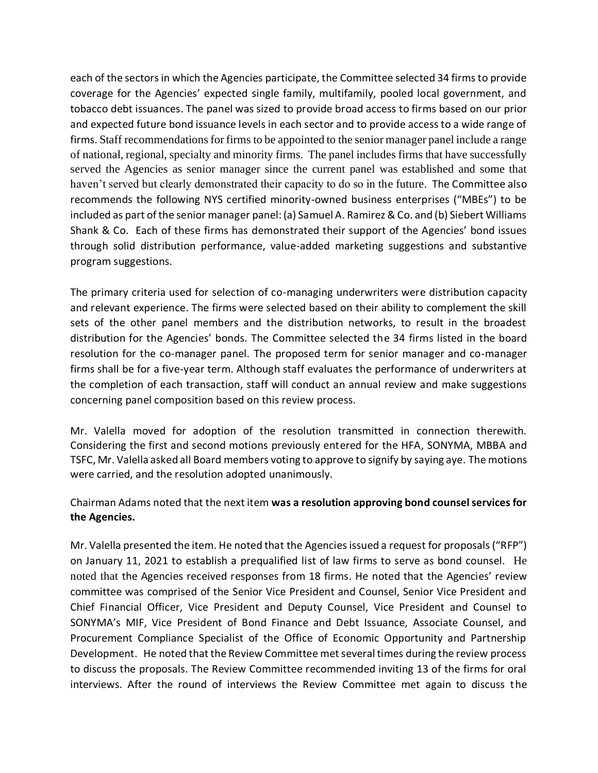each of the sectors in which the Agencies participate, the Committee selected 34 firms to provide coverage for the Agencies' expected single family, multifamily, pooled local government, and tobacco debt issuances. The panel was sized to provide broad access to firms based on our prior and expected future bond issuance levels in each sector and to provide access to a wide range of firms. Staff recommendations for firms to be appointed to the senior manager panel include a range of national, regional, specialty and minority firms. The panel includes firms that have successfully served the Agencies as senior manager since the current panel was established and some that haven't served but clearly demonstrated their capacity to do so in the future. The Committee also recommends the following NYS certified minority-owned business enterprises ("MBEs") to be included as part of the senior manager panel: (a) Samuel A. Ramirez & Co. and (b) Siebert Williams Shank & Co. Each of these firms has demonstrated their support of the Agencies' bond issues through solid distribution performance, value-added marketing suggestions and substantive program suggestions.

The primary criteria used for selection of co-managing underwriters were distribution capacity and relevant experience. The firms were selected based on their ability to complement the skill sets of the other panel members and the distribution networks, to result in the broadest distribution for the Agencies' bonds. The Committee selected the 34 firms listed in the board resolution for the co-manager panel. The proposed term for senior manager and co-manager firms shall be for a five-year term. Although staff evaluates the performance of underwriters at the completion of each transaction, staff will conduct an annual review and make suggestions concerning panel composition based on this review process.

Mr. Valella moved for adoption of the resolution transmitted in connection therewith. Considering the first and second motions previously entered for the HFA, SONYMA, MBBA and TSFC, Mr. Valella asked all Board members voting to approve to signify by saying aye. The motions were carried, and the resolution adopted unanimously.

## Chairman Adams noted that the next item **was a resolution approving bond counsel services for the Agencies.**

Mr. Valella presented the item. He noted that the Agencies issued a request for proposals ("RFP") on January 11, 2021 to establish a prequalified list of law firms to serve as bond counsel. He noted that the Agencies received responses from 18 firms. He noted that the Agencies' review committee was comprised of the Senior Vice President and Counsel, Senior Vice President and Chief Financial Officer, Vice President and Deputy Counsel, Vice President and Counsel to SONYMA's MIF, Vice President of Bond Finance and Debt Issuance, Associate Counsel, and Procurement Compliance Specialist of the Office of Economic Opportunity and Partnership Development. He noted that the Review Committee met several times during the review process to discuss the proposals. The Review Committee recommended inviting 13 of the firms for oral interviews. After the round of interviews the Review Committee met again to discuss the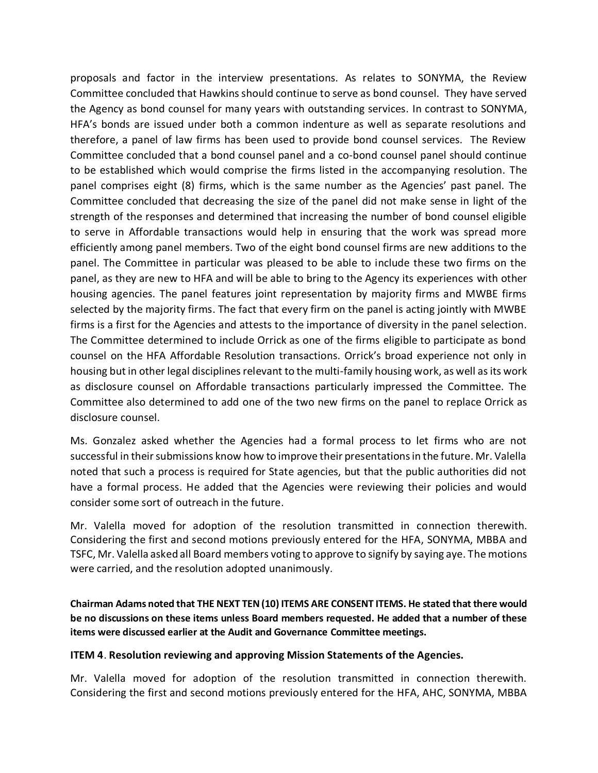proposals and factor in the interview presentations. As relates to SONYMA, the Review Committee concluded that Hawkins should continue to serve as bond counsel. They have served the Agency as bond counsel for many years with outstanding services. In contrast to SONYMA, HFA's bonds are issued under both a common indenture as well as separate resolutions and therefore, a panel of law firms has been used to provide bond counsel services. The Review Committee concluded that a bond counsel panel and a co-bond counsel panel should continue to be established which would comprise the firms listed in the accompanying resolution. The panel comprises eight (8) firms, which is the same number as the Agencies' past panel. The Committee concluded that decreasing the size of the panel did not make sense in light of the strength of the responses and determined that increasing the number of bond counsel eligible to serve in Affordable transactions would help in ensuring that the work was spread more efficiently among panel members. Two of the eight bond counsel firms are new additions to the panel. The Committee in particular was pleased to be able to include these two firms on the panel, as they are new to HFA and will be able to bring to the Agency its experiences with other housing agencies. The panel features joint representation by majority firms and MWBE firms selected by the majority firms. The fact that every firm on the panel is acting jointly with MWBE firms is a first for the Agencies and attests to the importance of diversity in the panel selection. The Committee determined to include Orrick as one of the firms eligible to participate as bond counsel on the HFA Affordable Resolution transactions. Orrick's broad experience not only in housing but in other legal disciplines relevant to the multi-family housing work, as well as its work as disclosure counsel on Affordable transactions particularly impressed the Committee. The Committee also determined to add one of the two new firms on the panel to replace Orrick as disclosure counsel.

Ms. Gonzalez asked whether the Agencies had a formal process to let firms who are not successful in their submissions know how to improve their presentations in the future. Mr. Valella noted that such a process is required for State agencies, but that the public authorities did not have a formal process. He added that the Agencies were reviewing their policies and would consider some sort of outreach in the future.

Mr. Valella moved for adoption of the resolution transmitted in connection therewith. Considering the first and second motions previously entered for the HFA, SONYMA, MBBA and TSFC, Mr. Valella asked all Board members voting to approve to signify by saying aye. The motions were carried, and the resolution adopted unanimously.

**Chairman Adams noted that THE NEXT TEN (10) ITEMS ARE CONSENT ITEMS. He stated that there would be no discussions on these items unless Board members requested. He added that a number of these items were discussed earlier at the Audit and Governance Committee meetings.** 

#### **ITEM 4**. **Resolution reviewing and approving Mission Statements of the Agencies.**

Mr. Valella moved for adoption of the resolution transmitted in connection therewith. Considering the first and second motions previously entered for the HFA, AHC, SONYMA, MBBA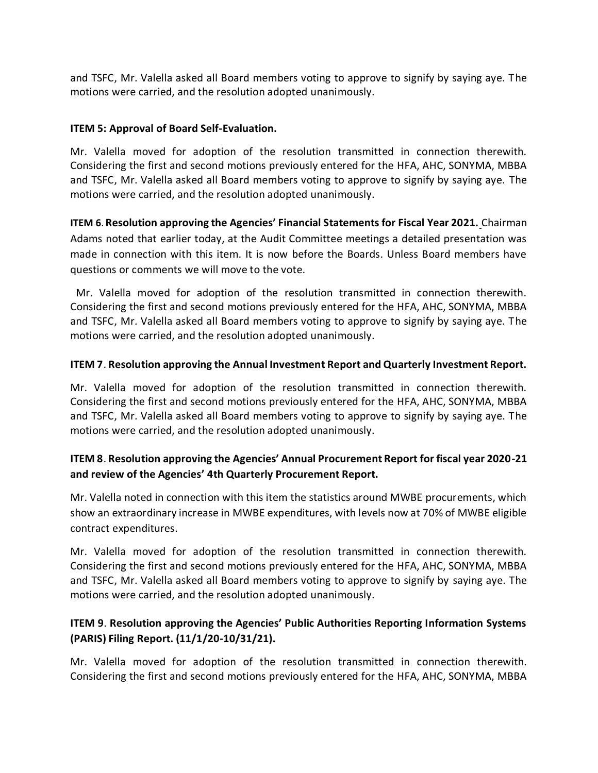and TSFC, Mr. Valella asked all Board members voting to approve to signify by saying aye. The motions were carried, and the resolution adopted unanimously.

#### **ITEM 5: Approval of Board Self-Evaluation.**

Mr. Valella moved for adoption of the resolution transmitted in connection therewith. Considering the first and second motions previously entered for the HFA, AHC, SONYMA, MBBA and TSFC, Mr. Valella asked all Board members voting to approve to signify by saying aye. The motions were carried, and the resolution adopted unanimously.

**ITEM 6**.**Resolution approving the Agencies' Financial Statements for Fiscal Year 2021.** Chairman Adams noted that earlier today, at the Audit Committee meetings a detailed presentation was made in connection with this item. It is now before the Boards. Unless Board members have questions or comments we will move to the vote.

Mr. Valella moved for adoption of the resolution transmitted in connection therewith. Considering the first and second motions previously entered for the HFA, AHC, SONYMA, MBBA and TSFC, Mr. Valella asked all Board members voting to approve to signify by saying aye. The motions were carried, and the resolution adopted unanimously.

#### **ITEM 7**. **Resolution approving the Annual Investment Report and Quarterly Investment Report.**

Mr. Valella moved for adoption of the resolution transmitted in connection therewith. Considering the first and second motions previously entered for the HFA, AHC, SONYMA, MBBA and TSFC, Mr. Valella asked all Board members voting to approve to signify by saying aye. The motions were carried, and the resolution adopted unanimously.

## **ITEM 8**. **Resolution approving the Agencies' Annual Procurement Report for fiscal year 2020-21 and review of the Agencies' 4th Quarterly Procurement Report.**

Mr. Valella noted in connection with this item the statistics around MWBE procurements, which show an extraordinary increase in MWBE expenditures, with levels now at 70% of MWBE eligible contract expenditures.

Mr. Valella moved for adoption of the resolution transmitted in connection therewith. Considering the first and second motions previously entered for the HFA, AHC, SONYMA, MBBA and TSFC, Mr. Valella asked all Board members voting to approve to signify by saying aye. The motions were carried, and the resolution adopted unanimously.

## **ITEM 9**. **Resolution approving the Agencies' Public Authorities Reporting Information Systems (PARIS) Filing Report. (11/1/20-10/31/21).**

Mr. Valella moved for adoption of the resolution transmitted in connection therewith. Considering the first and second motions previously entered for the HFA, AHC, SONYMA, MBBA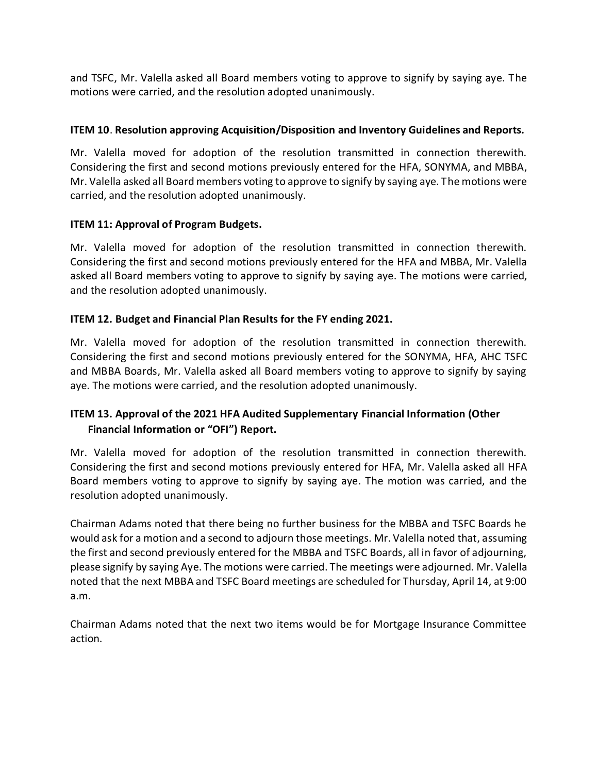and TSFC, Mr. Valella asked all Board members voting to approve to signify by saying aye. The motions were carried, and the resolution adopted unanimously.

#### **ITEM 10**. **Resolution approving Acquisition/Disposition and Inventory Guidelines and Reports.**

Mr. Valella moved for adoption of the resolution transmitted in connection therewith. Considering the first and second motions previously entered for the HFA, SONYMA, and MBBA, Mr. Valella asked all Board members voting to approve to signify by saying aye. The motions were carried, and the resolution adopted unanimously.

## **ITEM 11: Approval of Program Budgets.**

Mr. Valella moved for adoption of the resolution transmitted in connection therewith. Considering the first and second motions previously entered for the HFA and MBBA, Mr. Valella asked all Board members voting to approve to signify by saying aye. The motions were carried, and the resolution adopted unanimously.

## **ITEM 12. Budget and Financial Plan Results for the FY ending 2021.**

Mr. Valella moved for adoption of the resolution transmitted in connection therewith. Considering the first and second motions previously entered for the SONYMA, HFA, AHC TSFC and MBBA Boards, Mr. Valella asked all Board members voting to approve to signify by saying aye. The motions were carried, and the resolution adopted unanimously.

# **ITEM 13. Approval of the 2021 HFA Audited Supplementary Financial Information (Other Financial Information or "OFI") Report.**

Mr. Valella moved for adoption of the resolution transmitted in connection therewith. Considering the first and second motions previously entered for HFA, Mr. Valella asked all HFA Board members voting to approve to signify by saying aye. The motion was carried, and the resolution adopted unanimously.

Chairman Adams noted that there being no further business for the MBBA and TSFC Boards he would ask for a motion and a second to adjourn those meetings. Mr. Valella noted that, assuming the first and second previously entered for the MBBA and TSFC Boards, all in favor of adjourning, please signify by saying Aye. The motions were carried. The meetings were adjourned. Mr. Valella noted that the next MBBA and TSFC Board meetings are scheduled for Thursday, April 14, at 9:00 a.m.

Chairman Adams noted that the next two items would be for Mortgage Insurance Committee action.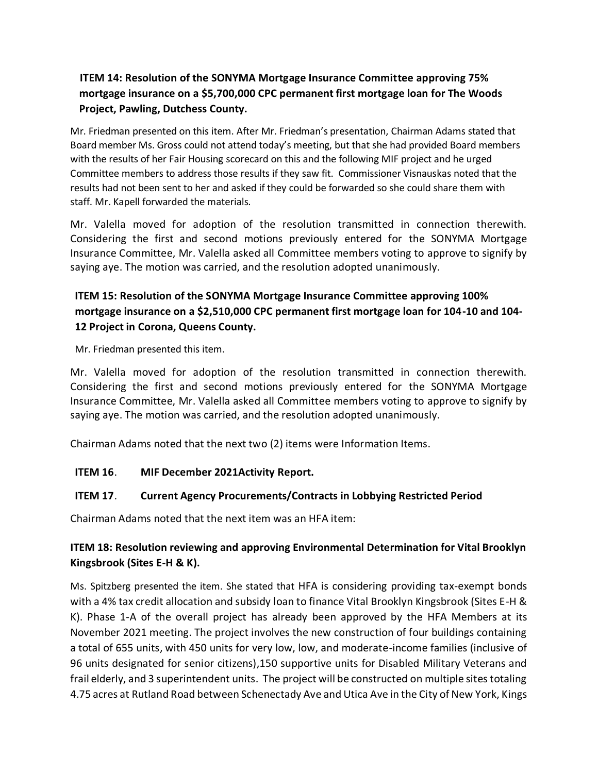# **ITEM 14: Resolution of the SONYMA Mortgage Insurance Committee approving 75% mortgage insurance on a \$5,700,000 CPC permanent first mortgage loan for The Woods Project, Pawling, Dutchess County.**

Mr. Friedman presented on this item. After Mr. Friedman's presentation, Chairman Adams stated that Board member Ms. Gross could not attend today's meeting, but that she had provided Board members with the results of her Fair Housing scorecard on this and the following MIF project and he urged Committee members to address those results if they saw fit. Commissioner Visnauskas noted that the results had not been sent to her and asked if they could be forwarded so she could share them with staff. Mr. Kapell forwarded the materials.

Mr. Valella moved for adoption of the resolution transmitted in connection therewith. Considering the first and second motions previously entered for the SONYMA Mortgage Insurance Committee, Mr. Valella asked all Committee members voting to approve to signify by saying aye. The motion was carried, and the resolution adopted unanimously.

# **ITEM 15: Resolution of the SONYMA Mortgage Insurance Committee approving 100% mortgage insurance on a \$2,510,000 CPC permanent first mortgage loan for 104-10 and 104- 12 Project in Corona, Queens County.**

Mr. Friedman presented this item.

Mr. Valella moved for adoption of the resolution transmitted in connection therewith. Considering the first and second motions previously entered for the SONYMA Mortgage Insurance Committee, Mr. Valella asked all Committee members voting to approve to signify by saying aye. The motion was carried, and the resolution adopted unanimously.

Chairman Adams noted that the next two (2) items were Information Items.

#### **ITEM 16**. **MIF December 2021Activity Report.**

#### **ITEM 17**. **Current Agency Procurements/Contracts in Lobbying Restricted Period**

Chairman Adams noted that the next item was an HFA item:

# **ITEM 18: Resolution reviewing and approving Environmental Determination for Vital Brooklyn Kingsbrook (Sites E-H & K).**

Ms. Spitzberg presented the item. She stated that HFA is considering providing tax-exempt bonds with a 4% tax credit allocation and subsidy loan to finance Vital Brooklyn Kingsbrook (Sites E-H & K). Phase 1-A of the overall project has already been approved by the HFA Members at its November 2021 meeting. The project involves the new construction of four buildings containing a total of 655 units, with 450 units for very low, low, and moderate-income families (inclusive of 96 units designated for senior citizens),150 supportive units for Disabled Military Veterans and frail elderly, and 3 superintendent units. The project will be constructed on multiple sites totaling 4.75 acres at Rutland Road between Schenectady Ave and Utica Ave in the City of New York, Kings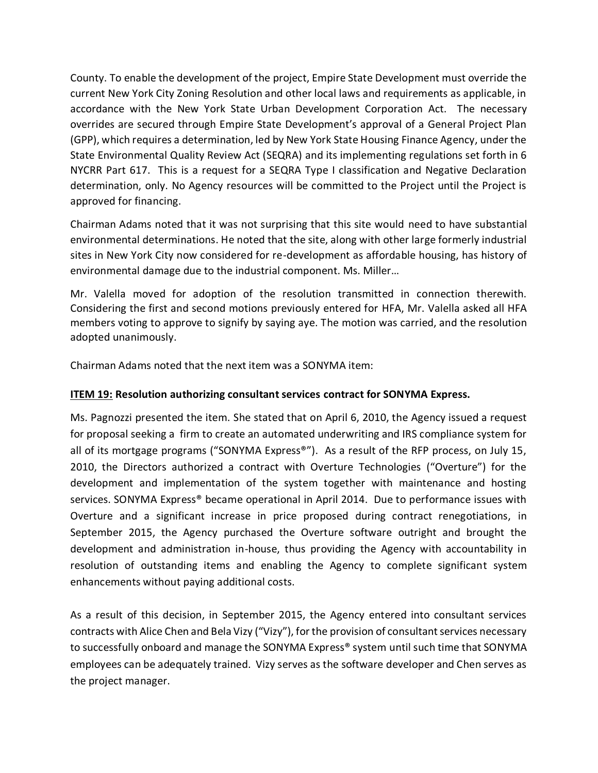County. To enable the development of the project, Empire State Development must override the current New York City Zoning Resolution and other local laws and requirements as applicable, in accordance with the New York State Urban Development Corporation Act. The necessary overrides are secured through Empire State Development's approval of a General Project Plan (GPP), which requires a determination, led by New York State Housing Finance Agency, under the State Environmental Quality Review Act (SEQRA) and its implementing regulations set forth in 6 NYCRR Part 617. This is a request for a SEQRA Type I classification and Negative Declaration determination, only. No Agency resources will be committed to the Project until the Project is approved for financing.

Chairman Adams noted that it was not surprising that this site would need to have substantial environmental determinations. He noted that the site, along with other large formerly industrial sites in New York City now considered for re-development as affordable housing, has history of environmental damage due to the industrial component. Ms. Miller…

Mr. Valella moved for adoption of the resolution transmitted in connection therewith. Considering the first and second motions previously entered for HFA, Mr. Valella asked all HFA members voting to approve to signify by saying aye. The motion was carried, and the resolution adopted unanimously.

Chairman Adams noted that the next item was a SONYMA item:

#### **ITEM 19: Resolution authorizing consultant services contract for SONYMA Express.**

Ms. Pagnozzi presented the item. She stated that on April 6, 2010, the Agency issued a request for proposal seeking a firm to create an automated underwriting and IRS compliance system for all of its mortgage programs ("SONYMA Express<sup>®"</sup>). As a result of the RFP process, on July 15, 2010, the Directors authorized a contract with Overture Technologies ("Overture") for the development and implementation of the system together with maintenance and hosting services. SONYMA Express® became operational in April 2014. Due to performance issues with Overture and a significant increase in price proposed during contract renegotiations, in September 2015, the Agency purchased the Overture software outright and brought the development and administration in-house, thus providing the Agency with accountability in resolution of outstanding items and enabling the Agency to complete significant system enhancements without paying additional costs.

As a result of this decision, in September 2015, the Agency entered into consultant services contracts with Alice Chen and Bela Vizy ("Vizy"), for the provision of consultant services necessary to successfully onboard and manage the SONYMA Express<sup>®</sup> system until such time that SONYMA employees can be adequately trained. Vizy serves as the software developer and Chen serves as the project manager.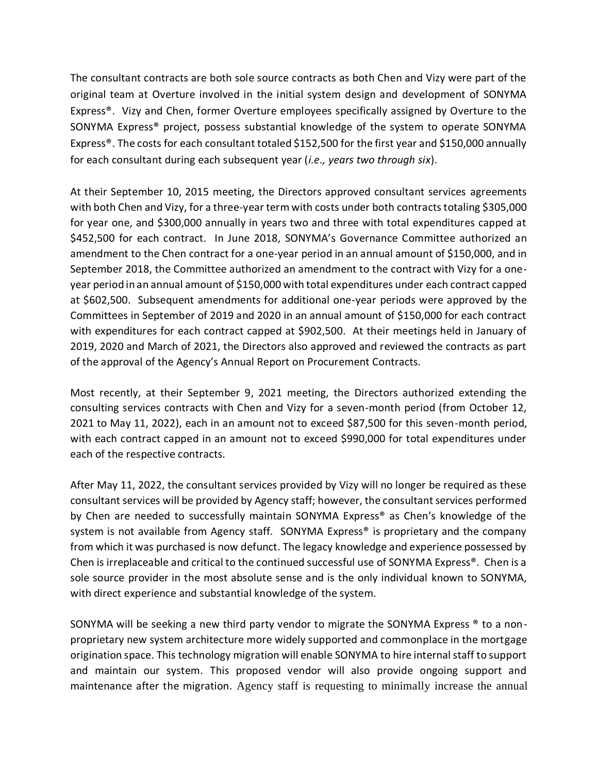The consultant contracts are both sole source contracts as both Chen and Vizy were part of the original team at Overture involved in the initial system design and development of SONYMA Express®. Vizy and Chen, former Overture employees specifically assigned by Overture to the SONYMA Express® project, possess substantial knowledge of the system to operate SONYMA Express®. The costs for each consultant totaled \$152,500 for the first year and \$150,000 annually for each consultant during each subsequent year (*i.e., years two through six*).

At their September 10, 2015 meeting, the Directors approved consultant services agreements with both Chen and Vizy, for a three-year term with costs under both contracts totaling \$305,000 for year one, and \$300,000 annually in years two and three with total expenditures capped at \$452,500 for each contract. In June 2018, SONYMA's Governance Committee authorized an amendment to the Chen contract for a one-year period in an annual amount of \$150,000, and in September 2018, the Committee authorized an amendment to the contract with Vizy for a oneyear period in an annual amount of \$150,000 with total expenditures under each contract capped at \$602,500. Subsequent amendments for additional one-year periods were approved by the Committees in September of 2019 and 2020 in an annual amount of \$150,000 for each contract with expenditures for each contract capped at \$902,500. At their meetings held in January of 2019, 2020 and March of 2021, the Directors also approved and reviewed the contracts as part of the approval of the Agency's Annual Report on Procurement Contracts.

Most recently, at their September 9, 2021 meeting, the Directors authorized extending the consulting services contracts with Chen and Vizy for a seven-month period (from October 12, 2021 to May 11, 2022), each in an amount not to exceed \$87,500 for this seven-month period, with each contract capped in an amount not to exceed \$990,000 for total expenditures under each of the respective contracts.

After May 11, 2022, the consultant services provided by Vizy will no longer be required as these consultant services will be provided by Agency staff; however, the consultant services performed by Chen are needed to successfully maintain SONYMA Express® as Chen's knowledge of the system is not available from Agency staff. SONYMA Express® is proprietary and the company from which it was purchased is now defunct. The legacy knowledge and experience possessed by Chen is irreplaceable and critical to the continued successful use of SONYMA Express®. Chen is a sole source provider in the most absolute sense and is the only individual known to SONYMA, with direct experience and substantial knowledge of the system.

SONYMA will be seeking a new third party vendor to migrate the SONYMA Express ® to a nonproprietary new system architecture more widely supported and commonplace in the mortgage origination space. This technology migration will enable SONYMA to hire internal staff to support and maintain our system. This proposed vendor will also provide ongoing support and maintenance after the migration. Agency staff is requesting to minimally increase the annual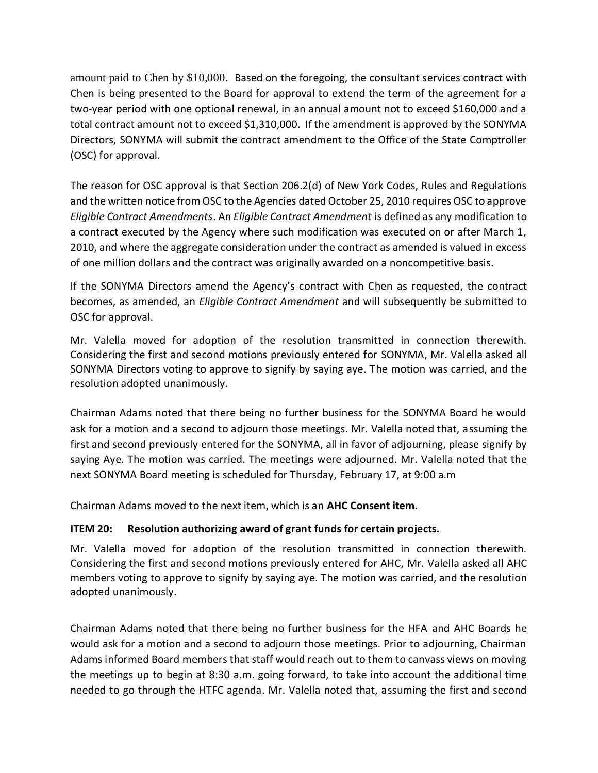amount paid to Chen by \$10,000. Based on the foregoing, the consultant services contract with Chen is being presented to the Board for approval to extend the term of the agreement for a two-year period with one optional renewal, in an annual amount not to exceed \$160,000 and a total contract amount not to exceed \$1,310,000. If the amendment is approved by the SONYMA Directors, SONYMA will submit the contract amendment to the Office of the State Comptroller (OSC) for approval.

The reason for OSC approval is that Section 206.2(d) of New York Codes, Rules and Regulations and the written notice from OSC to the Agencies dated October 25, 2010 requires OSC to approve *Eligible Contract Amendments*. An *Eligible Contract Amendment* is defined as any modification to a contract executed by the Agency where such modification was executed on or after March 1, 2010, and where the aggregate consideration under the contract as amended is valued in excess of one million dollars and the contract was originally awarded on a noncompetitive basis.

If the SONYMA Directors amend the Agency's contract with Chen as requested, the contract becomes, as amended, an *Eligible Contract Amendment* and will subsequently be submitted to OSC for approval.

Mr. Valella moved for adoption of the resolution transmitted in connection therewith. Considering the first and second motions previously entered for SONYMA, Mr. Valella asked all SONYMA Directors voting to approve to signify by saying aye. The motion was carried, and the resolution adopted unanimously.

Chairman Adams noted that there being no further business for the SONYMA Board he would ask for a motion and a second to adjourn those meetings. Mr. Valella noted that, assuming the first and second previously entered for the SONYMA, all in favor of adjourning, please signify by saying Aye. The motion was carried. The meetings were adjourned. Mr. Valella noted that the next SONYMA Board meeting is scheduled for Thursday, February 17, at 9:00 a.m

Chairman Adams moved to the next item, which is an **AHC Consent item.**

#### **ITEM 20: Resolution authorizing award of grant funds for certain projects.**

Mr. Valella moved for adoption of the resolution transmitted in connection therewith. Considering the first and second motions previously entered for AHC, Mr. Valella asked all AHC members voting to approve to signify by saying aye. The motion was carried, and the resolution adopted unanimously.

Chairman Adams noted that there being no further business for the HFA and AHC Boards he would ask for a motion and a second to adjourn those meetings. Prior to adjourning, Chairman Adams informed Board members that staff would reach out to them to canvass views on moving the meetings up to begin at 8:30 a.m. going forward, to take into account the additional time needed to go through the HTFC agenda. Mr. Valella noted that, assuming the first and second